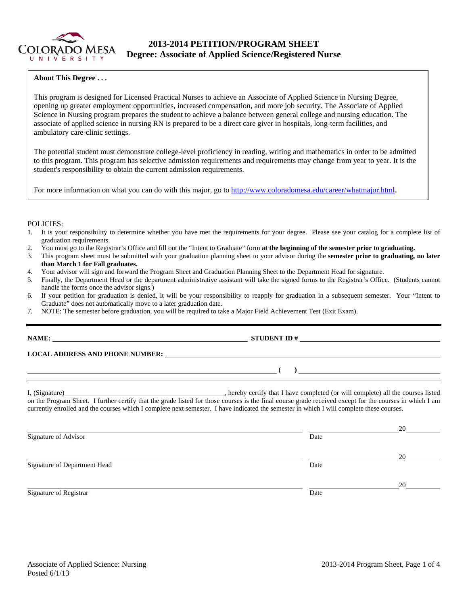

## **2013-2014 PETITION/PROGRAM SHEET Degree: Associate of Applied Science/Registered Nurse**

#### **About This Degree . . .**

This program is designed for Licensed Practical Nurses to achieve an Associate of Applied Science in Nursing Degree, opening up greater employment opportunities, increased compensation, and more job security. The Associate of Applied Science in Nursing program prepares the student to achieve a balance between general college and nursing education. The associate of applied science in nursing RN is prepared to be a direct care giver in hospitals, long-term facilities, and ambulatory care-clinic settings.

The potential student must demonstrate college-level proficiency in reading, writing and mathematics in order to be admitted to this program. This program has selective admission requirements and requirements may change from year to year. It is the student's responsibility to obtain the current admission requirements.

For more information on what you can do with this major, go to http://www.coloradomesa.edu/career/whatmajor.html.

#### POLICIES:

- 1. It is your responsibility to determine whether you have met the requirements for your degree. Please see your catalog for a complete list of graduation requirements.
- 2. You must go to the Registrar's Office and fill out the "Intent to Graduate" form **at the beginning of the semester prior to graduating.**
- 3. This program sheet must be submitted with your graduation planning sheet to your advisor during the **semester prior to graduating, no later than March 1 for Fall graduates.**
- 4. Your advisor will sign and forward the Program Sheet and Graduation Planning Sheet to the Department Head for signature.
- 5. Finally, the Department Head or the department administrative assistant will take the signed forms to the Registrar's Office. (Students cannot handle the forms once the advisor signs.)
- 6. If your petition for graduation is denied, it will be your responsibility to reapply for graduation in a subsequent semester. Your "Intent to Graduate" does not automatically move to a later graduation date.
- 7. NOTE: The semester before graduation, you will be required to take a Major Field Achievement Test (Exit Exam).

| ) <u>_______________________</u>                                                                                                                                                                                                                                                                                                                                                                     |
|------------------------------------------------------------------------------------------------------------------------------------------------------------------------------------------------------------------------------------------------------------------------------------------------------------------------------------------------------------------------------------------------------|
| I, (Signature) hereby certify that I have completed (or will complete) all the courses listed<br>on the Program Sheet. I further certify that the grade listed for those courses is the final course grade received except for the courses in which I am<br>currently enrolled and the courses which I complete next semester. I have indicated the semester in which I will complete these courses. |

|                              |      | 20 |
|------------------------------|------|----|
| Signature of Advisor         | Date |    |
|                              |      | 20 |
| Signature of Department Head | Date |    |
|                              |      | 20 |
| Signature of Registrar       | Date |    |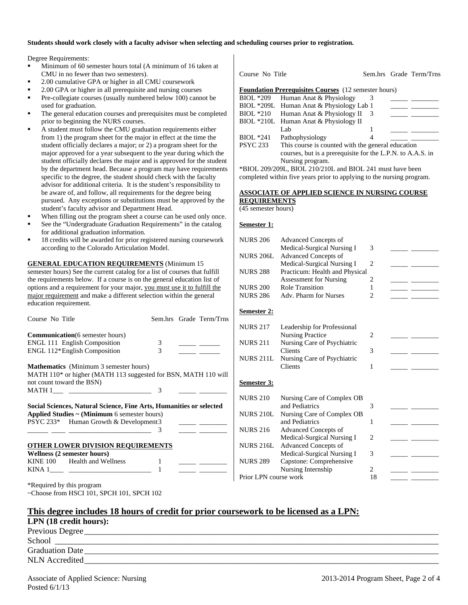#### **Students should work closely with a faculty advisor when selecting and scheduling courses prior to registration.**

Degree Requirements:

- Minimum of 60 semester hours total (A minimum of 16 taken at CMU in no fewer than two semesters).
- 2.00 cumulative GPA or higher in all CMU coursework
- 2.00 GPA or higher in all prerequisite and nursing courses
- Pre-collegiate courses (usually numbered below 100) cannot be used for graduation.
- The general education courses and prerequisites must be completed prior to beginning the NURS courses.
- A student must follow the CMU graduation requirements either from 1) the program sheet for the major in effect at the time the student officially declares a major; or 2) a program sheet for the major approved for a year subsequent to the year during which the student officially declares the major and is approved for the student by the department head. Because a program may have requirements specific to the degree, the student should check with the faculty advisor for additional criteria. It is the student's responsibility to be aware of, and follow, all requirements for the degree being pursued. Any exceptions or substitutions must be approved by the student's faculty advisor and Department Head.
- When filling out the program sheet a course can be used only once.
- See the "Undergraduate Graduation Requirements" in the catalog for additional graduation information.
- 18 credits will be awarded for prior registered nursing coursework according to the Colorado Articulation Model.

**GENERAL EDUCATION REQUIREMENTS** (Minimum 15 semester hours) See the current catalog for a list of courses that fulfill the requirements below. If a course is on the general education list of options and a requirement for your major, you must use it to fulfill the major requirement and make a different selection within the general education requirement.

| Course No Title                                                                                                                                                    | Sem.hrs Grade Term/Trns                      |
|--------------------------------------------------------------------------------------------------------------------------------------------------------------------|----------------------------------------------|
| <b>Communication</b> (6 semester hours)                                                                                                                            |                                              |
| <b>ENGL 111 English Composition</b>                                                                                                                                | 3                                            |
| ENGL 112*English Composition                                                                                                                                       | 3<br><u> 1989 - Jan Jan Jan</u>              |
| <b>Mathematics</b> (Minimum 3 semester hours)                                                                                                                      |                                              |
| MATH 110* or higher (MATH 113 suggested for BSN, MATH 110 will                                                                                                     |                                              |
| not count toward the BSN)                                                                                                                                          |                                              |
|                                                                                                                                                                    | 3                                            |
| Social Sciences, Natural Science, Fine Arts, Humanities or selected<br>Applied Studies $\sim$ (Minimum 6 semester hours)<br>PSYC 233* Human Growth & Development 3 | 3<br><u> 1989 - Jan Barnett, mars et al.</u> |
| <b>OTHER LOWER DIVISION REQUIREMENTS</b>                                                                                                                           |                                              |
| Wellness (2 semester hours)                                                                                                                                        |                                              |
| KINE 100 Health and Wellness                                                                                                                                       |                                              |
|                                                                                                                                                                    | 1                                            |
| *Required by this program                                                                                                                                          |                                              |

~Choose from HSCI 101, SPCH 101, SPCH 102

|                 | Course No Title                                             |  | Sem.hrs Grade Term/Trns |
|-----------------|-------------------------------------------------------------|--|-------------------------|
|                 | <b>Foundation Prerequisites Courses</b> (12 semester hours) |  |                         |
| BIOL *209       | Human Anat & Physiology                                     |  |                         |
|                 | BIOL *209L Human Anat & Physiology Lab 1                    |  |                         |
|                 | BIOL *210 Human Anat & Physiology II                        |  |                         |
|                 | BIOL *210L Human Anat & Physiology II                       |  |                         |
|                 | Lab                                                         |  |                         |
| $BIOL * 241$    | Pathophysiology                                             |  |                         |
| <b>PSYC 233</b> | This course is counted with the general education           |  |                         |
|                 | courses, but is a prerequisite for the L.P.N. to A.A.S. in  |  |                         |
|                 | Nursing program.                                            |  |                         |

\*BIOL 209/209L, BIOL 210/210L and BIOL 241 must have been completed within five years prior to applying to the nursing program.

#### **ASSOCIATE OF APPLIED SCIENCE IN NURSING COURSE**

**REQUIREMENTS** (45 semester hours)

**Semester 1:** 

| <b>NURS 206</b>       | <b>Advanced Concepts of</b>                               |                |  |
|-----------------------|-----------------------------------------------------------|----------------|--|
| <b>NURS 206L</b>      | Medical-Surgical Nursing I<br>Advanced Concepts of        | 3              |  |
|                       | Medical-Surgical Nursing I                                | $\overline{2}$ |  |
| <b>NURS 288</b>       | Practicum: Health and Physical                            |                |  |
|                       | <b>Assessment for Nursing</b>                             | 2              |  |
| <b>NURS 200</b>       | Role Transition                                           | 1              |  |
| <b>NURS 286</b>       | Adv. Pharm for Nurses                                     | $\overline{2}$ |  |
| <b>Semester 2:</b>    |                                                           |                |  |
| <b>NURS 217</b>       | Leadership for Professional                               |                |  |
|                       | <b>Nursing Practice</b>                                   | $\mathfrak{D}$ |  |
| <b>NURS 211</b>       | Nursing Care of Psychiatric                               |                |  |
|                       | <b>Clients</b>                                            | 3              |  |
| <b>NURS 211L</b>      | Nursing Care of Psychiatric<br>Clients                    | 1              |  |
|                       |                                                           |                |  |
| Semester 3:           |                                                           |                |  |
| <b>NURS 210</b>       | Nursing Care of Complex OB                                |                |  |
|                       | and Pediatrics                                            | 3              |  |
| <b>NURS 210L</b>      | Nursing Care of Complex OB                                |                |  |
| <b>NURS 216</b>       | and Pediatrics                                            | 1              |  |
|                       | <b>Advanced Concepts of</b><br>Medical-Surgical Nursing I | 2              |  |
| <b>NURS 216L</b>      | <b>Advanced Concepts of</b>                               |                |  |
|                       | Medical-Surgical Nursing I                                | 3              |  |
| <b>NURS 289</b>       | Capstone: Comprehensive                                   |                |  |
|                       | Nursing Internship                                        | $\mathfrak{D}$ |  |
| Prior LPN course work |                                                           | 18             |  |

|  |  |  | This degree includes 18 hours of credit for prior coursework to be licensed as a LPN: |  |  |
|--|--|--|---------------------------------------------------------------------------------------|--|--|
|  |  |  |                                                                                       |  |  |

| LPN (18 credit hours): |  |
|------------------------|--|
| Previous Degree        |  |
| School                 |  |
| <b>Graduation Date</b> |  |
| <b>NLN</b> Accredited  |  |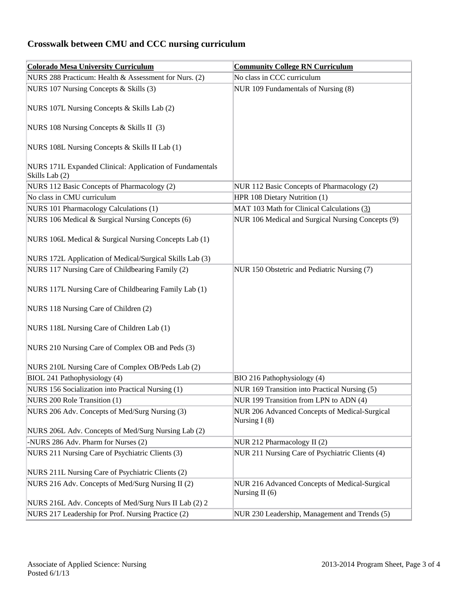# **Crosswalk between CMU and CCC nursing curriculum**

| <b>Colorado Mesa University Curriculum</b>                                 | <b>Community College RN Curriculum</b>                          |
|----------------------------------------------------------------------------|-----------------------------------------------------------------|
| NURS 288 Practicum: Health & Assessment for Nurs. (2)                      | No class in CCC curriculum                                      |
| NURS 107 Nursing Concepts & Skills (3)                                     | NUR 109 Fundamentals of Nursing (8)                             |
| NURS 107L Nursing Concepts & Skills Lab (2)                                |                                                                 |
| NURS 108 Nursing Concepts & Skills II (3)                                  |                                                                 |
| NURS 108L Nursing Concepts & Skills II Lab (1)                             |                                                                 |
| NURS 171L Expanded Clinical: Application of Fundamentals<br>Skills Lab (2) |                                                                 |
| NURS 112 Basic Concepts of Pharmacology (2)                                | NUR 112 Basic Concepts of Pharmacology (2)                      |
| No class in CMU curriculum                                                 | HPR 108 Dietary Nutrition (1)                                   |
| NURS 101 Pharmacology Calculations (1)                                     | MAT 103 Math for Clinical Calculations (3)                      |
| NURS 106 Medical & Surgical Nursing Concepts (6)                           | NUR 106 Medical and Surgical Nursing Concepts (9)               |
| NURS 106L Medical & Surgical Nursing Concepts Lab (1)                      |                                                                 |
| NURS 172L Application of Medical/Surgical Skills Lab (3)                   |                                                                 |
| NURS 117 Nursing Care of Childbearing Family (2)                           | NUR 150 Obstetric and Pediatric Nursing (7)                     |
| NURS 117L Nursing Care of Childbearing Family Lab (1)                      |                                                                 |
| NURS 118 Nursing Care of Children (2)                                      |                                                                 |
| NURS 118L Nursing Care of Children Lab (1)                                 |                                                                 |
| NURS 210 Nursing Care of Complex OB and Peds (3)                           |                                                                 |
| NURS 210L Nursing Care of Complex OB/Peds Lab (2)                          |                                                                 |
| BIOL 241 Pathophysiology (4)                                               | BIO 216 Pathophysiology (4)                                     |
| NURS 156 Socialization into Practical Nursing (1)                          | NUR 169 Transition into Practical Nursing (5)                   |
| NURS 200 Role Transition (1)                                               | NUR 199 Transition from LPN to ADN (4)                          |
| NURS 206 Adv. Concepts of Med/Surg Nursing (3)                             | NUR 206 Advanced Concepts of Medical-Surgical<br>Nursing $I(8)$ |
| NURS 206L Adv. Concepts of Med/Surg Nursing Lab (2)                        |                                                                 |
| -NURS 286 Adv. Pharm for Nurses (2)                                        | NUR 212 Pharmacology II (2)                                     |
| NURS 211 Nursing Care of Psychiatric Clients (3)                           | NUR 211 Nursing Care of Psychiatric Clients (4)                 |
| NURS 211L Nursing Care of Psychiatric Clients (2)                          |                                                                 |
| NURS 216 Adv. Concepts of Med/Surg Nursing II (2)                          | NUR 216 Advanced Concepts of Medical-Surgical                   |
| NURS 216L Adv. Concepts of Med/Surg Nurs II Lab (2) 2                      | Nursing II $(6)$                                                |
| NURS 217 Leadership for Prof. Nursing Practice (2)                         | NUR 230 Leadership, Management and Trends (5)                   |